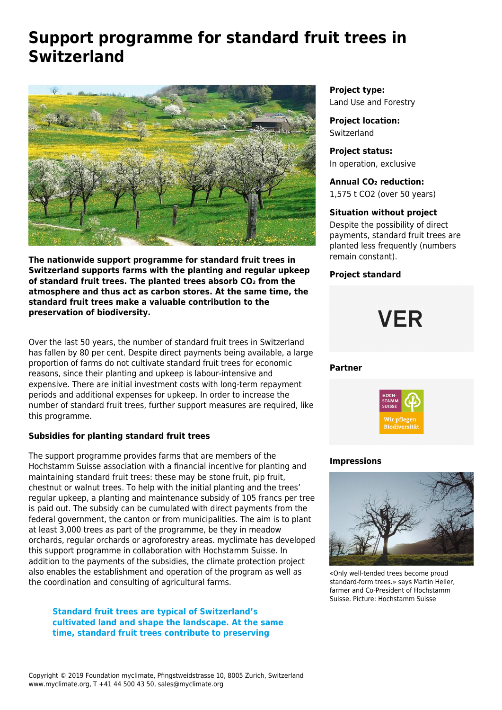# **Support programme for standard fruit trees in Switzerland**



**The nationwide support programme for standard fruit trees in Switzerland supports farms with the planting and regular upkeep of standard fruit trees. The planted trees absorb CO₂ from the atmosphere and thus act as carbon stores. At the same time, the standard fruit trees make a valuable contribution to the preservation of biodiversity.** 

Over the last 50 years, the number of standard fruit trees in Switzerland has fallen by 80 per cent. Despite direct payments being available, a large proportion of farms do not cultivate standard fruit trees for economic reasons, since their planting and upkeep is labour-intensive and expensive. There are initial investment costs with long-term repayment periods and additional expenses for upkeep. In order to increase the number of standard fruit trees, further support measures are required, like this programme.

# **Subsidies for planting standard fruit trees**

The support programme provides farms that are members of the Hochstamm Suisse association with a financial incentive for planting and maintaining standard fruit trees: these may be stone fruit, pip fruit, chestnut or walnut trees. To help with the initial planting and the trees' regular upkeep, a planting and maintenance subsidy of 105 francs per tree is paid out. The subsidy can be cumulated with direct payments from the federal government, the canton or from municipalities. The aim is to plant at least 3,000 trees as part of the programme, be they in meadow orchards, regular orchards or agroforestry areas. myclimate has developed this support programme in collaboration with Hochstamm Suisse. In addition to the payments of the subsidies, the climate protection project also enables the establishment and operation of the program as well as the coordination and consulting of agricultural farms.

**Standard fruit trees are typical of Switzerland's cultivated land and shape the landscape. At the same time, standard fruit trees contribute to preserving**

**Project type:** Land Use and Forestry

**Project location: Switzerland** 

**Project status:** In operation, exclusive

**Annual CO₂ reduction:** 1,575 t CO2 (over 50 years)

# **Situation without project**

Despite the possibility of direct payments, standard fruit trees are planted less frequently (numbers remain constant).

# **Project standard**

# **VER**

#### **Partner**



#### **Impressions**



«Only well-tended trees become proud standard-form trees.» says Martin Heller, farmer and Co-President of Hochstamm Suisse. Picture: Hochstamm Suisse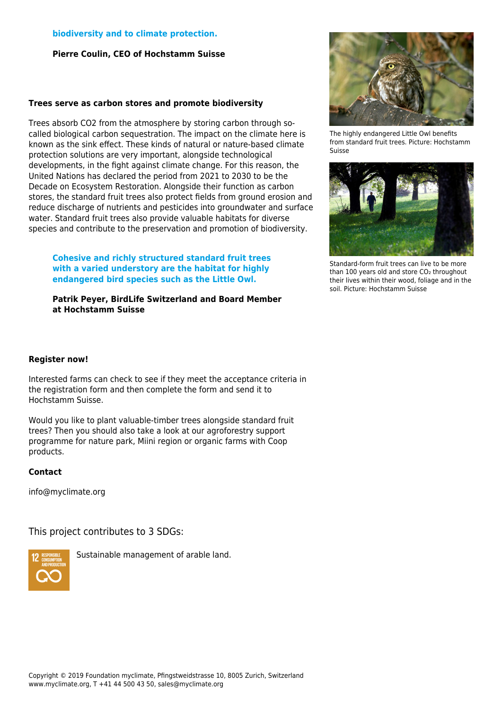#### **biodiversity and to climate protection.**

**Pierre Coulin, CEO of Hochstamm Suisse**

#### **Trees serve as carbon stores and promote biodiversity**

Trees absorb CO2 from the atmosphere by storing carbon through socalled biological carbon sequestration. The impact on the climate here is known as the sink effect. These kinds of natural or nature-based climate protection solutions are very important, alongside technological developments, in the fight against climate change. For this reason, the United Nations has declared the period from 2021 to 2030 to be the Decade on Ecosystem Restoration. Alongside their function as carbon stores, the standard fruit trees also protect fields from ground erosion and reduce discharge of nutrients and pesticides into groundwater and surface water. Standard fruit trees also provide valuable habitats for diverse species and contribute to the preservation and promotion of biodiversity.

**Cohesive and richly structured standard fruit trees with a varied understory are the habitat for highly endangered bird species such as the Little Owl.**

**Patrik Peyer, BirdLife Switzerland and Board Member at Hochstamm Suisse**



The highly endangered Little Owl benefits from standard fruit trees. Picture: Hochstamm Suisse



Standard-form fruit trees can live to be more than 100 years old and store CO<sub>2</sub> throughout their lives within their wood, foliage and in the soil. Picture: Hochstamm Suisse

# **Register now!**

Interested farms can check to see if they meet the acceptance criteria in the registration form and then complete the form and send it to Hochstamm Suisse.

Would you like to plant valuable-timber trees alongside standard fruit trees? Then you should also take a look at our [agroforestry support](https://www.myclimate.org/information/carbon-offset-projects/detail-carbon-offset-projects/switzerland-land-use-and-forestry-7919-003/) [programme](https://www.myclimate.org/information/carbon-offset-projects/detail-carbon-offset-projects/switzerland-land-use-and-forestry-7919-003/) for nature park, Miini region or organic farms with Coop products.

# **Contact**

[info@myclimate.org](mailto:info@myclimate.org)

This project contributes to 3 SDGs:



Sustainable management of arable land.